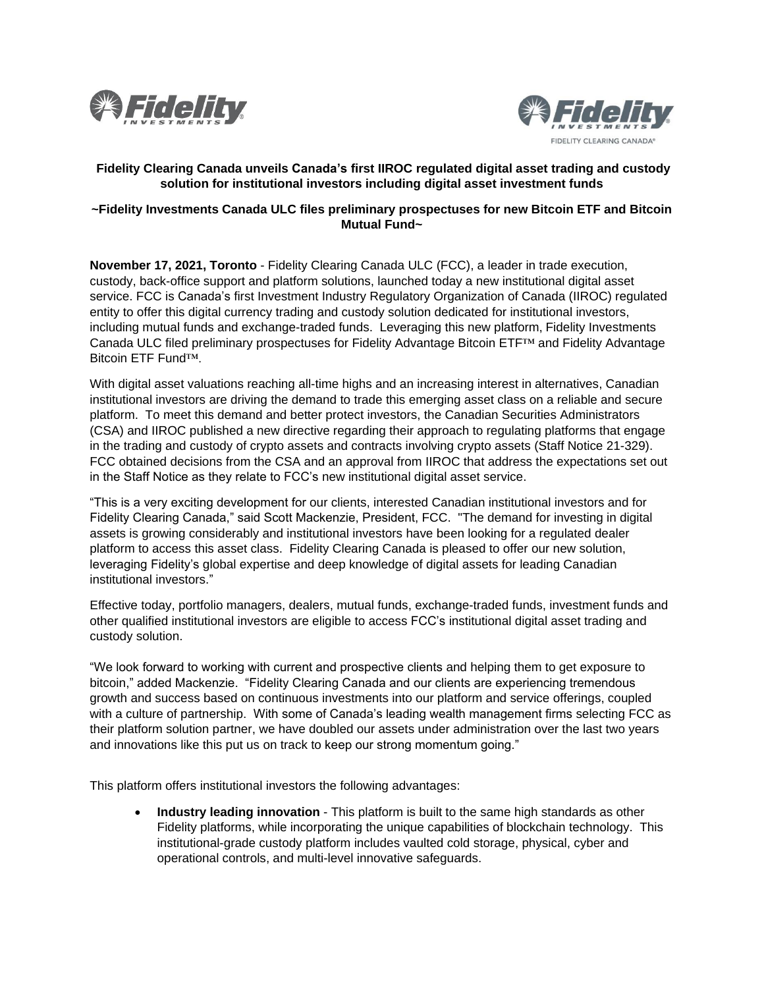



# **Fidelity Clearing Canada unveils Canada's first IIROC regulated digital asset trading and custody solution for institutional investors including digital asset investment funds**

## **~Fidelity Investments Canada ULC files preliminary prospectuses for new Bitcoin ETF and Bitcoin Mutual Fund~**

**November 17, 2021, Toronto** - Fidelity Clearing Canada ULC (FCC), a leader in trade execution, custody, back-office support and platform solutions, launched today a new institutional digital asset service. FCC is Canada's first Investment Industry Regulatory Organization of Canada (IIROC) regulated entity to offer this digital currency trading and custody solution dedicated for institutional investors, including mutual funds and exchange-traded funds. Leveraging this new platform, Fidelity Investments Canada ULC filed preliminary prospectuses for Fidelity Advantage Bitcoin ETF™ and Fidelity Advantage Bitcoin ETF Fund™.

With digital asset valuations reaching all-time highs and an increasing interest in alternatives, Canadian institutional investors are driving the demand to trade this emerging asset class on a reliable and secure platform. To meet this demand and better protect investors, the Canadian Securities Administrators (CSA) and IIROC published a new directive regarding their approach to regulating platforms that engage in the trading and custody of crypto assets and contracts involving crypto assets (Staff Notice 21-329). FCC obtained decisions from the CSA and an approval from IIROC that address the expectations set out in the Staff Notice as they relate to FCC's new institutional digital asset service.

"This is a very exciting development for our clients, interested Canadian institutional investors and for Fidelity Clearing Canada," said Scott Mackenzie, President, FCC. "The demand for investing in digital assets is growing considerably and institutional investors have been looking for a regulated dealer platform to access this asset class. Fidelity Clearing Canada is pleased to offer our new solution, leveraging Fidelity's global expertise and deep knowledge of digital assets for leading Canadian institutional investors."

Effective today, portfolio managers, dealers, mutual funds, exchange-traded funds, investment funds and other qualified institutional investors are eligible to access FCC's institutional digital asset trading and custody solution.

"We look forward to working with current and prospective clients and helping them to get exposure to bitcoin," added Mackenzie. "Fidelity Clearing Canada and our clients are experiencing tremendous growth and success based on continuous investments into our platform and service offerings, coupled with a culture of partnership. With some of Canada's leading wealth management firms selecting FCC as their platform solution partner, we have doubled our assets under administration over the last two years and innovations like this put us on track to keep our strong momentum going."

This platform offers institutional investors the following advantages:

• **Industry leading innovation** - This platform is built to the same high standards as other Fidelity platforms, while incorporating the unique capabilities of blockchain technology. This institutional-grade custody platform includes vaulted cold storage, physical, cyber and operational controls, and multi-level innovative safeguards.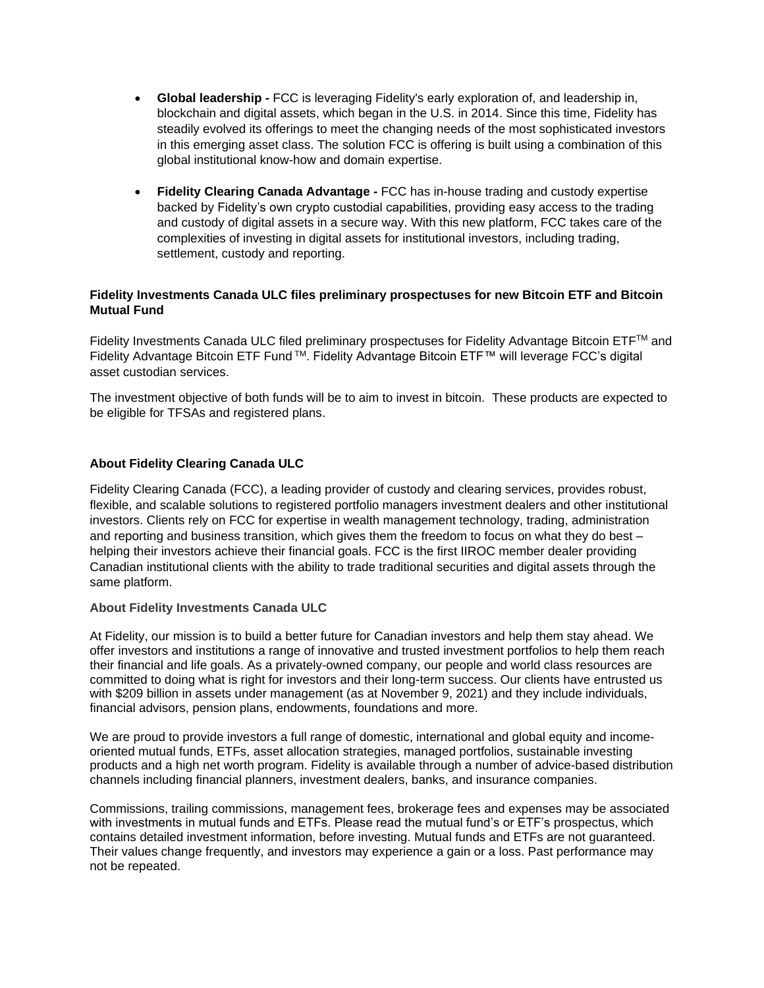- **Global leadership -** FCC is leveraging Fidelity's early exploration of, and leadership in, blockchain and digital assets, which began in the U.S. in 2014. Since this time, Fidelity has steadily evolved its offerings to meet the changing needs of the most sophisticated investors in this emerging asset class. The solution FCC is offering is built using a combination of this global institutional know-how and domain expertise.
- **Fidelity Clearing Canada Advantage -** FCC has in-house trading and custody expertise backed by Fidelity's own crypto custodial capabilities, providing easy access to the trading and custody of digital assets in a secure way. With this new platform, FCC takes care of the complexities of investing in digital assets for institutional investors, including trading, settlement, custody and reporting.

## **Fidelity Investments Canada ULC files preliminary prospectuses for new Bitcoin ETF and Bitcoin Mutual Fund**

Fidelity Investments Canada ULC filed preliminary prospectuses for Fidelity Advantage Bitcoin ETFTM and Fidelity Advantage Bitcoin ETF Fund TM. Fidelity Advantage Bitcoin ETF™ will leverage FCC's digital asset custodian services.

The investment objective of both funds will be to aim to invest in bitcoin. These products are expected to be eligible for TFSAs and registered plans.

## **About Fidelity Clearing Canada ULC**

Fidelity Clearing Canada (FCC), a leading provider of custody and clearing services, provides robust, flexible, and scalable solutions to registered portfolio managers investment dealers and other institutional investors. Clients rely on FCC for expertise in wealth management technology, trading, administration and reporting and business transition, which gives them the freedom to focus on what they do best – helping their investors achieve their financial goals. FCC is the first IIROC member dealer providing Canadian institutional clients with the ability to trade traditional securities and digital assets through the same platform.

### **About Fidelity Investments Canada ULC**

At Fidelity, our mission is to build a better future for Canadian investors and help them stay ahead. We offer investors and institutions a range of innovative and trusted investment portfolios to help them reach their financial and life goals. As a privately-owned company, our people and world class resources are committed to doing what is right for investors and their long-term success. Our clients have entrusted us with \$209 billion in assets under management (as at November 9, 2021) and they include individuals, financial advisors, pension plans, endowments, foundations and more.

We are proud to provide investors a full range of domestic, international and global equity and incomeoriented mutual funds, ETFs, asset allocation strategies, managed portfolios, sustainable investing products and a high net worth program. Fidelity is available through a number of advice-based distribution channels including financial planners, investment dealers, banks, and insurance companies.

Commissions, trailing commissions, management fees, brokerage fees and expenses may be associated with investments in mutual funds and ETFs. Please read the mutual fund's or ETF's prospectus, which contains detailed investment information, before investing. Mutual funds and ETFs are not guaranteed. Their values change frequently, and investors may experience a gain or a loss. Past performance may not be repeated.